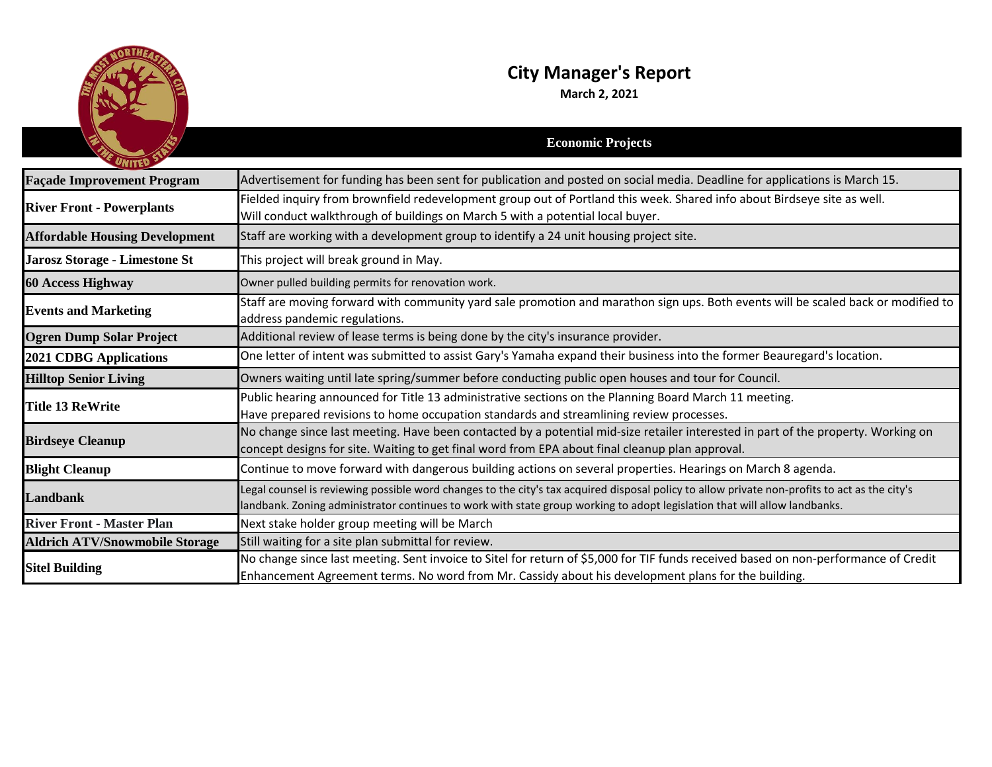

## **City Manager's Report**

**March 2, 2021**

|                                       | <b>Economic Projects</b>                                                                                                                                                                                                                                                   |
|---------------------------------------|----------------------------------------------------------------------------------------------------------------------------------------------------------------------------------------------------------------------------------------------------------------------------|
|                                       |                                                                                                                                                                                                                                                                            |
| <b>Façade Improvement Program</b>     | Advertisement for funding has been sent for publication and posted on social media. Deadline for applications is March 15.                                                                                                                                                 |
| <b>River Front - Powerplants</b>      | Fielded inquiry from brownfield redevelopment group out of Portland this week. Shared info about Birdseye site as well.<br>Will conduct walkthrough of buildings on March 5 with a potential local buyer.                                                                  |
| <b>Affordable Housing Development</b> | Staff are working with a development group to identify a 24 unit housing project site.                                                                                                                                                                                     |
| Jarosz Storage - Limestone St         | This project will break ground in May.                                                                                                                                                                                                                                     |
| <b>60 Access Highway</b>              | Owner pulled building permits for renovation work.                                                                                                                                                                                                                         |
| <b>Events and Marketing</b>           | Staff are moving forward with community yard sale promotion and marathon sign ups. Both events will be scaled back or modified to<br>address pandemic regulations.                                                                                                         |
| <b>Ogren Dump Solar Project</b>       | Additional review of lease terms is being done by the city's insurance provider.                                                                                                                                                                                           |
| <b>2021 CDBG Applications</b>         | One letter of intent was submitted to assist Gary's Yamaha expand their business into the former Beauregard's location.                                                                                                                                                    |
| <b>Hilltop Senior Living</b>          | Owners waiting until late spring/summer before conducting public open houses and tour for Council.                                                                                                                                                                         |
| <b>Title 13 ReWrite</b>               | Public hearing announced for Title 13 administrative sections on the Planning Board March 11 meeting.<br>Have prepared revisions to home occupation standards and streamlining review processes.                                                                           |
| <b>Birdseye Cleanup</b>               | No change since last meeting. Have been contacted by a potential mid-size retailer interested in part of the property. Working on<br>concept designs for site. Waiting to get final word from EPA about final cleanup plan approval.                                       |
| <b>Blight Cleanup</b>                 | Continue to move forward with dangerous building actions on several properties. Hearings on March 8 agenda.                                                                                                                                                                |
| <b>Landbank</b>                       | Legal counsel is reviewing possible word changes to the city's tax acquired disposal policy to allow private non-profits to act as the city's<br>landbank. Zoning administrator continues to work with state group working to adopt legislation that will allow landbanks. |
| <b>River Front - Master Plan</b>      | Next stake holder group meeting will be March                                                                                                                                                                                                                              |
| <b>Aldrich ATV/Snowmobile Storage</b> | Still waiting for a site plan submittal for review.                                                                                                                                                                                                                        |
| <b>Sitel Building</b>                 | No change since last meeting. Sent invoice to Sitel for return of \$5,000 for TIF funds received based on non-performance of Credit<br>Enhancement Agreement terms. No word from Mr. Cassidy about his development plans for the building.                                 |